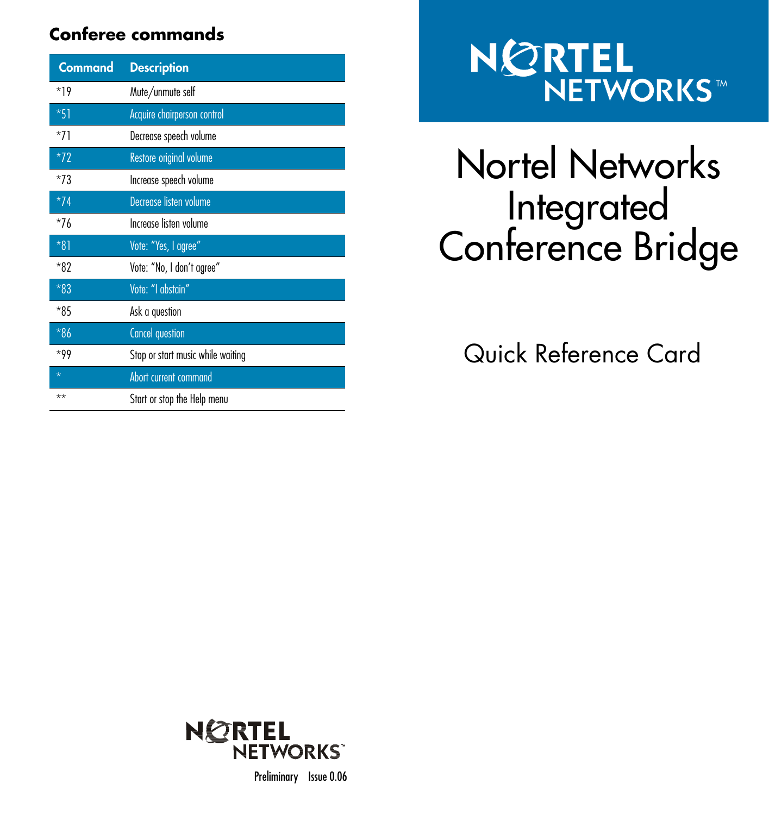### **Conferee commands**

| <b>Command</b> | <b>Description</b>                |
|----------------|-----------------------------------|
| $*19$          | Mute/unmute self                  |
| $*51$          | Acquire chairperson control       |
| $*71$          | Decrease speech volume            |
| $*72$          | Restore original volume           |
| $*73$          | Increase speech volume            |
| $*74$          | Decrease listen volume            |
| $*76$          | Increase listen volume            |
| $*81$          | Vote: "Yes, I agree"              |
| $*82$          | Vote: "No, I don't agree"         |
| $*83$          | Vote: "I abstain"                 |
| $*85$          | Ask a question                    |
| $*86$          | <b>Cancel question</b>            |
| $*99$          | Stop or start music while waiting |
| $\star$        | Abort current command             |
| $***$          | Start or stop the Help menu       |

# TM

## Nortel Networks Integrated Conference Bridge

Quick Reference Card